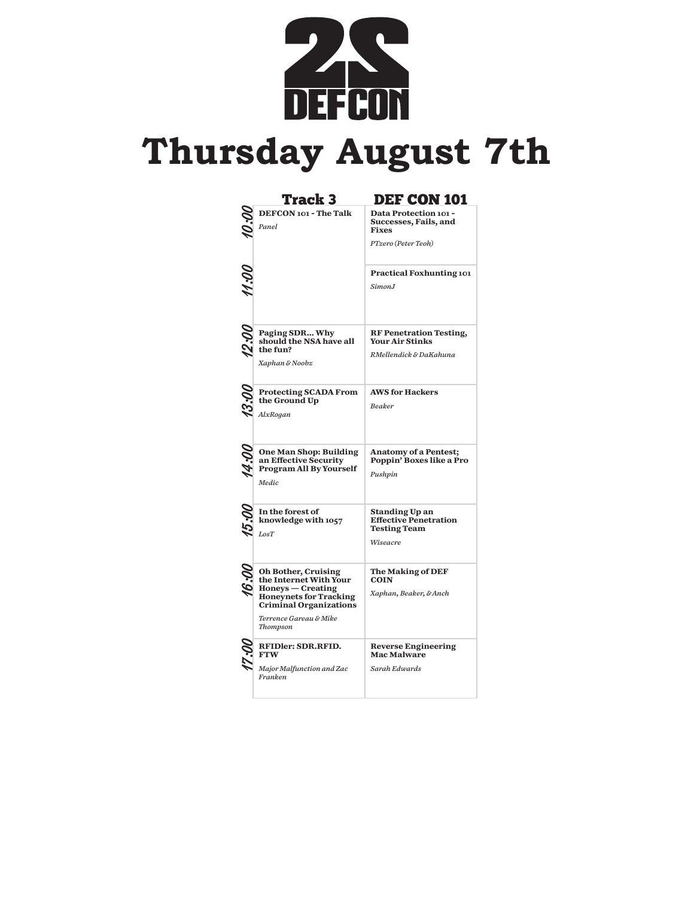

## **Thursday August 7th**

| <b>Track 3</b>                                                                                                                                                                             | <b>DEF CON 101</b>                                                                       |  |  |
|--------------------------------------------------------------------------------------------------------------------------------------------------------------------------------------------|------------------------------------------------------------------------------------------|--|--|
| DEFCON 101 - The Talk<br>Panel                                                                                                                                                             | Data Protection 101 -<br>Successes, Fails, and<br><b>Fixes</b>                           |  |  |
|                                                                                                                                                                                            | PTzero (Peter Teoh)                                                                      |  |  |
|                                                                                                                                                                                            | <b>Practical Foxhunting 101</b><br>Simon.I                                               |  |  |
| Paging SDR Why<br>should the NSA have all<br>the fun?<br>Xaphan & Noobz                                                                                                                    | <b>RF Penetration Testing,</b><br><b>Your Air Stinks</b><br>RMellendick & DaKahuna       |  |  |
| <b>Protecting SCADA From</b><br>the Ground Up<br>AlxRogan                                                                                                                                  | <b>AWS for Hackers</b><br>Beaker                                                         |  |  |
| <b>One Man Shop: Building</b><br>an Effective Security<br><b>Program All By Yourself</b><br>Medic                                                                                          | <b>Anatomy of a Pentest;</b><br>Poppin' Boxes like a Pro<br>Pushpin                      |  |  |
| In the forest of<br>knowledge with 1057<br>LoST                                                                                                                                            | <b>Standing Up an</b><br><b>Effective Penetration</b><br><b>Testing Team</b><br>Wiseacre |  |  |
| <b>Oh Bother, Cruising</b><br>the Internet With Your<br>$Honeys - Creating$<br><b>Honeynets for Tracking</b><br><b>Criminal Organizations</b><br>Terrence Gareau & Mike<br><b>Thompson</b> | <b>The Making of DEF</b><br><b>COIN</b><br>Xaphan, Beaker, & Anch                        |  |  |
| RFIDler: SDR.RFID.<br><b>FTW</b><br>Major Malfunction and Zac<br>Franken                                                                                                                   | <b>Reverse Engineering</b><br><b>Mac Malware</b><br>Sarah Edwards                        |  |  |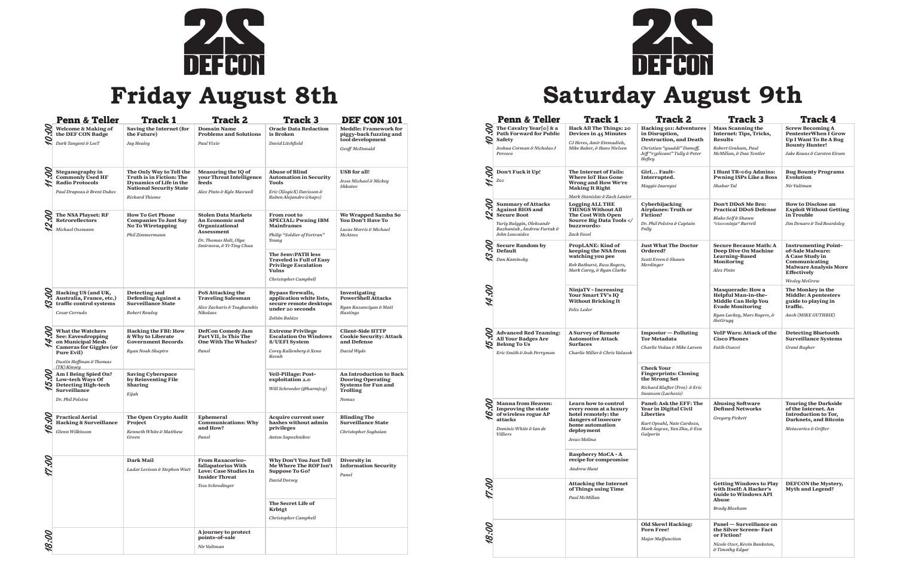*Zoz*

## **Saturday August 9th Penn & Teller Track 1 Track 7**<br>The Cavalry Year[0] & a Hack All The Things: 20 Hackin The Cavalry Year[0] & a<br>
Path Forward for Public<br>
Safety **Path Forward for Public**  *Joshua Corman & Nicholas J Percoco*  **Hack All The Things: 20 Devices in 45 Minutes**  *CJ Heres, Amir Etemadieh, Mike Baker, & Hans Nielsen*  **Hackin** in Disr **Destru**  $Christia$ *Jeff "r3plicant" Tully & Peter Hefley* **Mass Scanning the Internet: Tips, Tricks, Results**  *Robert Graham, Paul McMillan, & Dan Tentler* **12.02** Don't Fuck it Up! **The Internet of Fails: Where IoT Has Gone Wrong and How We're Making It Right**  *Mark Stanislav & Zach Lanier* Girl... **Interru** *Maggie J* **I Hunt TR-069 Admins: Pwning ISPs Like a Boss**  *Shahar Tal*  12:00**Summary of Attacks Against BIOS and Secure Boot**  *Yuriy Bulygin, Oleksandr Bazhaniuk , Andrew Furtak & John Loucaides*  **Logging ALL THE THINGS Without All The Cost With Open Source Big Data Tools </ buzzwords>** *Zack Fasel* **Cyberhijacking Airplanes: Truth or Fiction?**  *Dr. Phil P Polly* **Don't DDoS Me Bro: Practical DDoS Defense**  *Blake Self & Shawn "cisc0ninja" Burrell* **13:50 Secure Random by Default**<br>  $\sum_{\text{Dan Kaminsky}}$ **Default**  *Dan Kaminsky* **PropLANE: Kind of keeping the NSA from watching you pee**  *Rob Bathurst, Russ Rogers, Mark Carey, & Ryan Clarke* **Just Wh Ordere**  $Scott$  *Erve Merdinge* **Secure Because Math: A Deep Dive On Machine Learning-Based Monitoring**  *Alex Pinto*  **NinjaTV - Increasing Your Smart TV's IQ Without Bricking It**  *Felix Leder* **Masquerade: How a Helpful Man-in-the-Middle Can Help You Evade Monitoring**  *Ryan Lackey, Marc Rogers, & theGrugq* Advanced Red Teaming:<br> **All Your Badges Are**<br> **Belong To Us All Your Badges Are Belong To Us** *Eric Smith & Josh Perrymon* **A Survey of Remote Automotive Attack Surfaces**  *Charlie Miller & Chris Valasek*  Impost<sub>o</sub> **Tor Me**  $Charlie$  *V* **VoIP Wars: Attack of the Cisco Phones**  *Fatih Ozavci*  Check<sup>'</sup> **Fingerprints: Cloning the Strong Set**   $Richard$ *Swanson (Lachesis)* **16:00** Manna from Heaven:<br> **16:00** Improving the state<br> **16:00** of wireless rogue AP **Improving the state of wireless rogue AP attacks**  *Dominic White & Ian de Villiers*  **Learn how to control every room at a luxury hotel remotely: the dangers of insecure home automation deployment**  *Jesus Molina* Panel: **Year in** Libertie *Kurt Opsahl, Nate Cardozo, Mark Jaycox, Yan Zhu, & Eva Galperin*  **Abusing Software Defined Networks**  *Gregory Pickett* **Raspberry MoCA - A recipe for compromise**  *Andrew Hunt* **Attacking the Internet of Things using Time**  *Paul McMillan* **Getting Windows to Play with Itself: A Hacker's Guide to Windows API Abuse**  *Brady Bloxham* **Old Ske Porn F** *Major Malfunction* **Panel — Surveillance on the Silver Screen- Fact or Fiction?**  *Nicole Ozer, Kevin Bankston,*

14:00

| rack 2                                                  | <b>Track 3</b>                                                                                                    | Track 4                                                                                                                                   |  |
|---------------------------------------------------------|-------------------------------------------------------------------------------------------------------------------|-------------------------------------------------------------------------------------------------------------------------------------------|--|
| <b>g 911: Adventures</b><br>uption,<br>ction, and Death | <b>Mass Scanning the</b><br>Internet: Tips, Tricks,<br><b>Results</b>                                             | <b>Screw Becoming A</b><br><b>PentesterWhen I Grow</b><br>Up I Want To Be A Bug<br><b>Bounty Hunter!</b>                                  |  |
| n "quaddi" Dameff,<br>licant" Tully & Peter             | Robert Graham, Paul<br>McMillan, & Dan Tentler                                                                    | Jake Kouns & Carsten Eiram                                                                                                                |  |
| Fault-<br>ıpted.                                        | I Hunt TR-069 Admins:<br><b>Pwning ISPs Like a Boss</b>                                                           | <b>Bug Bounty Programs</b><br><b>Evolution</b>                                                                                            |  |
| aurequi                                                 | Shahar Tal                                                                                                        | Nir Valtman                                                                                                                               |  |
| ıijacking<br>nes: Truth or<br>i?                        | Don't DDoS Me Bro:<br><b>Practical DDoS Defense</b>                                                               | <b>How to Disclose an</b><br><b>Exploit Without Getting</b><br>in Trouble                                                                 |  |
| Polstra & Captain                                       | Blake Self& Shawn<br>"cisconinja" Burrell                                                                         | Jim Denaro & Tod Beardsley                                                                                                                |  |
| hat The Doctor<br>:d?<br>≀en & Shawn<br>er              | <b>Secure Because Math: A</b><br>Deep Dive On Machine<br><b>Learning-Based</b><br><b>Monitoring</b><br>Alex Pinto | <b>Instrumenting Point-</b><br>of-Sale Malware:<br>A Case Study in<br>Communicating<br><b>Malware Analysis More</b><br><b>Effectively</b> |  |
|                                                         |                                                                                                                   | Wesley McGrew                                                                                                                             |  |
|                                                         | <b>Masquerade: How a</b><br><b>Helpful Man-in-the-</b><br><b>Middle Can Help You</b><br><b>Evade Monitoring</b>   | The Monkey in the<br>Middle: A pentesters<br>guide to playing in<br>traffic.                                                              |  |
|                                                         | Ryan Lackey, Marc Rogers, &<br>theGrugq                                                                           | Anch (MIKE GUTHRIE)                                                                                                                       |  |
| tor — Polluting<br>tadata                               | <b>VoIP Wars: Attack of the</b><br><b>Cisco Phones</b>                                                            | <b>Detecting Bluetooth</b><br><b>Surveillance Systems</b>                                                                                 |  |
| 7edaa&Mike Larsen                                       | Fatih Ozavci                                                                                                      | Grant Bugher                                                                                                                              |  |
| Your<br>prints: Cloning<br>ong Set                      |                                                                                                                   |                                                                                                                                           |  |
| Klafter (Free) & Eric<br>ı (Lachesis)                   |                                                                                                                   |                                                                                                                                           |  |
| <b>Ask the EFF: The</b><br>Digital Civil<br>es          | <b>Abusing Software</b><br><b>Defined Networks</b><br>Gregory Pickett                                             | <b>Touring the Darkside</b><br>of the Internet. An<br>Introduction to Tor,<br><b>Darknets, and Bitcoin</b>                                |  |
| ahl, Nate Cardozo,<br>ycox, Yan Zhu, & Eva              |                                                                                                                   | Metacortex & Grifter                                                                                                                      |  |
|                                                         | <b>Getting Windows to Play</b><br>with Itself: A Hacker's<br><b>Guide to Windows API</b><br>Abuse                 | <b>DEFCON</b> the Mystery,<br><b>Myth and Legend?</b>                                                                                     |  |
|                                                         | <b>Brady Bloxham</b>                                                                                              |                                                                                                                                           |  |
| ewl Hacking:<br>ree!<br>alfunction                      | <b>Panel — Surveillance on</b><br>the Silver Screen-Fact<br>or Fiction?                                           |                                                                                                                                           |  |
|                                                         | Nicole Ozer, Kevin Bankston,<br>& Timothy Edgar                                                                   |                                                                                                                                           |  |

17:00

18:00





## **Friday August 8th**

|                             | <b>Penn &amp; Teller</b>                                                                                                                       | <b>Track 1</b>                                                                                                                      | <b>Track 2</b>                                                                                                                                          | <b>Track 3</b>                                                                                                                                                                                                                           | <b>DEF CON 101</b>                                                                                                   |
|-----------------------------|------------------------------------------------------------------------------------------------------------------------------------------------|-------------------------------------------------------------------------------------------------------------------------------------|---------------------------------------------------------------------------------------------------------------------------------------------------------|------------------------------------------------------------------------------------------------------------------------------------------------------------------------------------------------------------------------------------------|----------------------------------------------------------------------------------------------------------------------|
| Ò.                          | <b>Welcome &amp; Making of</b><br>the DEF CON Badge<br>Dark Tangent & LosT                                                                     | Saving the Internet (for<br>the Future)<br>Jay Healey                                                                               | <b>Domain Name</b><br><b>Problems and Solutions</b><br>Paul Vixie                                                                                       | <b>Oracle Data Redaction</b><br>is Broken<br>David Litchfield                                                                                                                                                                            | <b>Meddle: Framework for</b><br>piggy-back fuzzing and<br>tool development<br>Geoff McDonald                         |
| Ø.<br>$\blacktriangleright$ | Steganography in<br><b>Commonly Used HF</b><br><b>Radio Protocols</b><br>Paul Drapeau & Brent Dukes                                            | The Only Way to Tell the<br>Truth is in Fiction: The<br>Dynamics of Life in the<br><b>National Security State</b><br>Richard Thieme | Measuring the IQ of<br>your Threat Intelligence<br>feeds<br>Alex Pinto & Kyle Maxwell                                                                   | <b>Abuse of Blind</b><br><b>Automation in Security</b><br><b>Tools</b><br>$Eric(Xlogic X)$ Davisson &<br>Ruben Alejandro (chapo)                                                                                                         | <b>USB</b> for all!<br>Jesse Michael & Mickey<br>Shkatov                                                             |
| ÒÒ.                         | The NSA Playset: RF<br>Retroreflectors<br>Michael Ossmann                                                                                      | <b>How To Get Phone</b><br><b>Companies To Just Say</b><br><b>No To Wiretapping</b><br>Phil Zimmermann                              | <b>Stolen Data Markets</b><br><b>An Economic and</b><br><b>Organizational</b><br><b>Assessment</b><br>Dr. Thomas Holt, Olga<br>Smirnova, & Yi-Ting Chua | <b>From root to</b><br><b>SPECIAL: Pwning IBM</b><br><b>Mainframes</b><br>Philip "Soldier of Fortran"<br>Young<br>The \$env:PATH less<br><b>Traveled is Full of Easy</b><br><b>Privilege Escalation</b><br>Vulns<br>Christopher Campbell | We Wrapped Samba So<br>You Don't Have To<br>Lucas Morris & Michael<br><b>McAtees</b>                                 |
| 00.81                       | Hacking US (and UK,<br>Australia, France, etc.)<br>traffic control systems<br>Cesar Cerrudo                                                    | Detecting and<br>Defending Against a<br><b>Surveillance State</b><br>Robert Rowley                                                  | PoS Attacking the<br><b>Traveling Salesman</b><br>Alex Zacharis & Tsagkarakis<br>Nikolaos                                                               | Bypass firewalls,<br>application white lists,<br>secure remote desktops<br>under 20 seconds<br>Zoltán Balázs                                                                                                                             | Investigating<br><b>PowerShell Attacks</b><br>Ryan Kazanciyan & Matt<br>Hastings                                     |
| 14:00                       | <b>What the Watchers</b><br>See: Eavesdropping<br>on Municipal Mesh<br><b>Cameras for Giggles (or</b><br>Pure Evil)<br>Dustin Hoffman & Thomas | <b>Hacking the FBI: How</b><br>& Why to Liberate<br><b>Government Records</b><br>Ryan Noah Shapiro                                  | <b>DefCon Comedy Jam</b><br>Part VII, Is This The<br><b>One With The Whales?</b><br>Panel                                                               | <b>Extreme Privilege</b><br><b>Escalation On Windows</b><br>8/UEFI System<br>Corey Kallenberg & Xeno<br>Kovah                                                                                                                            | <b>Client-Side HTTP</b><br><b>Cookie Security: Attack</b><br>and Defense<br>David Wyde                               |
| Öб.                         | $(TK)$ Kinsey<br>Am I Being Spied On?<br>Low-tech Ways Of<br>Detecting High-tech<br><b>Surveillance</b><br>Dr. Phil Polstra                    | <b>Saving Cyberspace</b><br>by Reinventing File<br><b>Sharing</b><br>Eijah                                                          |                                                                                                                                                         | Veil-Pillage: Post-<br>exploitation 2.0<br>Will Schroeder (@harmjoy)                                                                                                                                                                     | <b>An Introduction to Back</b><br><b>Dooring Operating</b><br><b>Systems for Fun and</b><br><b>Trolling</b><br>Nemus |
| Ø.<br>$\mathscr{B}$         | <b>Practical Aerial</b><br><b>Hacking &amp; Surveillance</b><br>Glenn Wilkinson                                                                | The Open Crypto Audit<br>Project<br>Kenneth White & Matthew<br>Green                                                                | <b>Ephemeral</b><br><b>Communications: Why</b><br>and How?<br>Panel                                                                                     | Acquire current user<br>hashes without admin<br>privileges<br>Anton Sapozhnikov                                                                                                                                                          | <b>Blinding The</b><br><b>Surveillance State</b><br>Christopher Soghoian                                             |
|                             |                                                                                                                                                | Dark Mail<br>Ladar Levison & Stephen Watt                                                                                           | <b>From Raxacorico-</b><br>fallapatorius With<br>Love: Case Studies In<br><b>Insider Threat</b><br>Tess Schrodinger                                     | Why Don't You Just Tell<br>Me Where The ROP Isn't<br><b>Suppose To Go?</b><br>David Dorsey<br>The Secret Life of<br><b>Krbtgt</b><br>Christopher Campbell                                                                                | Diversity in<br><b>Information Security</b><br>Panel                                                                 |
|                             |                                                                                                                                                |                                                                                                                                     | A journey to protect<br>points-of-sale<br>Nir Valtman                                                                                                   |                                                                                                                                                                                                                                          |                                                                                                                      |